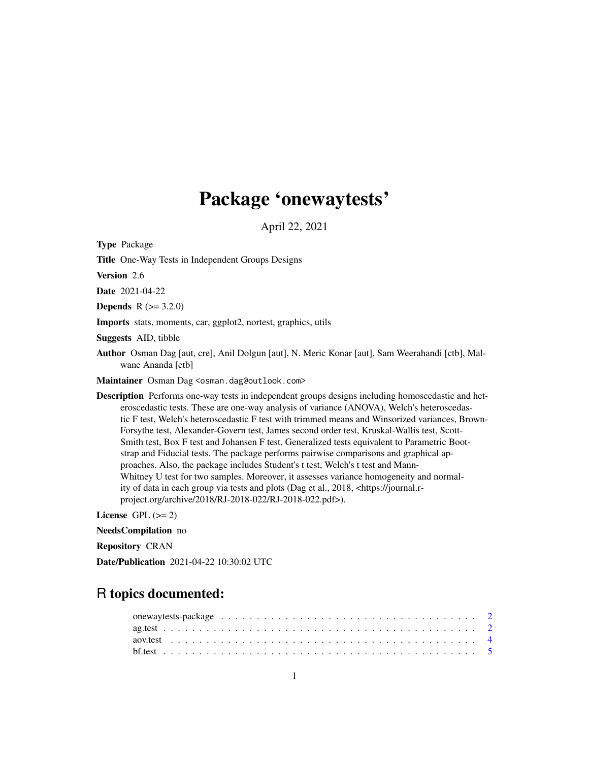## Package 'onewaytests'

April 22, 2021

<span id="page-0-0"></span>Type Package

Title One-Way Tests in Independent Groups Designs

Version 2.6

Date 2021-04-22

**Depends**  $R (= 3.2.0)$ 

Imports stats, moments, car, ggplot2, nortest, graphics, utils

Suggests AID, tibble

Author Osman Dag [aut, cre], Anil Dolgun [aut], N. Meric Konar [aut], Sam Weerahandi [ctb], Malwane Ananda [ctb]

Maintainer Osman Dag <osman.dag@outlook.com>

Description Performs one-way tests in independent groups designs including homoscedastic and heteroscedastic tests. These are one-way analysis of variance (ANOVA), Welch's heteroscedastic F test, Welch's heteroscedastic F test with trimmed means and Winsorized variances, Brown-Forsythe test, Alexander-Govern test, James second order test, Kruskal-Wallis test, Scott-Smith test, Box F test and Johansen F test, Generalized tests equivalent to Parametric Bootstrap and Fiducial tests. The package performs pairwise comparisons and graphical approaches. Also, the package includes Student's t test, Welch's t test and Mann-Whitney U test for two samples. Moreover, it assesses variance homogeneity and normality of data in each group via tests and plots (Dag et al., 2018, <https://journal.rproject.org/archive/2018/RJ-2018-022/RJ-2018-022.pdf>).

License GPL  $(>= 2)$ 

NeedsCompilation no

Repository CRAN

Date/Publication 2021-04-22 10:30:02 UTC

## R topics documented: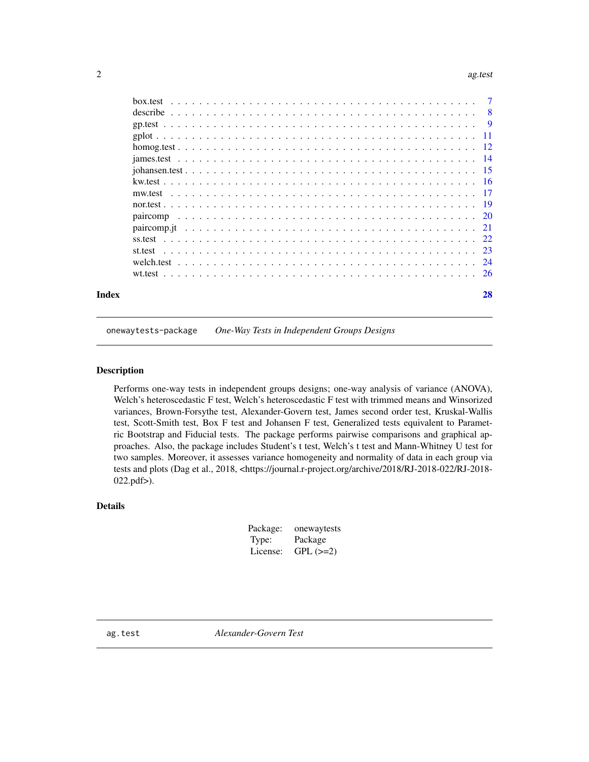#### <span id="page-1-0"></span>2 ag.test and 2 ag.test and 2 ag.test and 2 ag.test ag.test and 2 ag.test ag.test ag.test ag.test ag.test ag.test

|       | st.test |    |
|-------|---------|----|
|       |         |    |
|       |         |    |
| Index |         | 28 |

onewaytests-package *One-Way Tests in Independent Groups Designs*

## Description

Performs one-way tests in independent groups designs; one-way analysis of variance (ANOVA), Welch's heteroscedastic F test, Welch's heteroscedastic F test with trimmed means and Winsorized variances, Brown-Forsythe test, Alexander-Govern test, James second order test, Kruskal-Wallis test, Scott-Smith test, Box F test and Johansen F test, Generalized tests equivalent to Parametric Bootstrap and Fiducial tests. The package performs pairwise comparisons and graphical approaches. Also, the package includes Student's t test, Welch's t test and Mann-Whitney U test for two samples. Moreover, it assesses variance homogeneity and normality of data in each group via tests and plots (Dag et al., 2018, <https://journal.r-project.org/archive/2018/RJ-2018-022/RJ-2018- 022.pdf>).

## Details

| Package: | onewaytests |
|----------|-------------|
| Type:    | Package     |
| License: | $GPL (=2)$  |

ag.test *Alexander-Govern Test*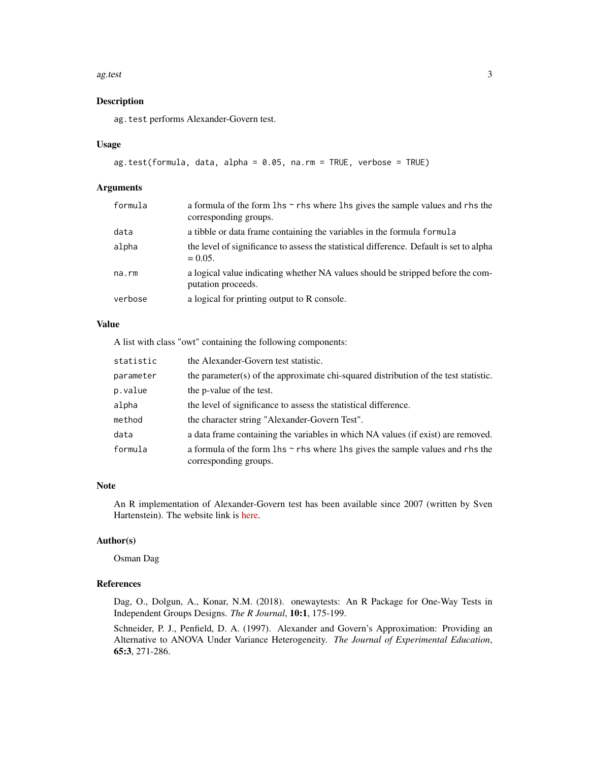#### ag.test 3

#### Description

ag.test performs Alexander-Govern test.

#### Usage

```
ag.test(formula, data, alpha = 0.05, na.rm = TRUE, verbose = TRUE)
```
#### Arguments

| formula | a formula of the form $\ln s \sim r$ hs where $\ln s$ gives the sample values and rhs the<br>corresponding groups. |
|---------|--------------------------------------------------------------------------------------------------------------------|
| data    | a tibble or data frame containing the variables in the formula formula                                             |
| alpha   | the level of significance to assess the statistical difference. Default is set to alpha<br>$= 0.05.$               |
| na.rm   | a logical value indicating whether NA values should be stripped before the com-<br>putation proceeds.              |
| verbose | a logical for printing output to R console.                                                                        |

## Value

A list with class "owt" containing the following components:

| statistic | the Alexander-Govern test statistic.                                                                               |
|-----------|--------------------------------------------------------------------------------------------------------------------|
| parameter | the parameter(s) of the approximate chi-squared distribution of the test statistic.                                |
| p.value   | the p-value of the test.                                                                                           |
| alpha     | the level of significance to assess the statistical difference.                                                    |
| method    | the character string "Alexander-Govern Test".                                                                      |
| data      | a data frame containing the variables in which NA values (if exist) are removed.                                   |
| formula   | a formula of the form $\ln s \sim r$ hs where $\ln s$ gives the sample values and rhs the<br>corresponding groups. |

## Note

An R implementation of Alexander-Govern test has been available since 2007 (written by Sven Hartenstein). The website link is [here.](https://eval-serv2.metpsy.uni-jena.de/wiki-metheval-hp/index.php/R_FUN_Alexander-Govern)

#### Author(s)

Osman Dag

#### References

Dag, O., Dolgun, A., Konar, N.M. (2018). onewaytests: An R Package for One-Way Tests in Independent Groups Designs. *The R Journal*, 10:1, 175-199.

Schneider, P. J., Penfield, D. A. (1997). Alexander and Govern's Approximation: Providing an Alternative to ANOVA Under Variance Heterogeneity. *The Journal of Experimental Education*, 65:3, 271-286.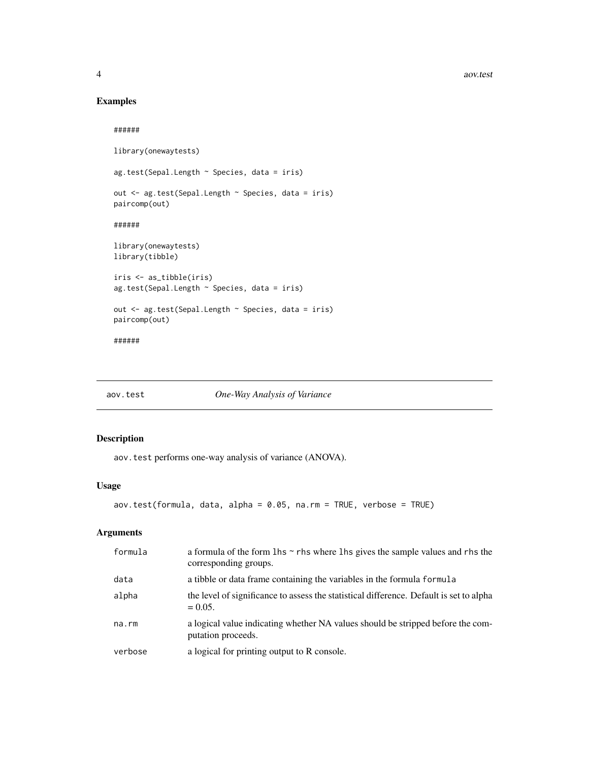4 aov.test

## Examples

######

```
library(onewaytests)
ag.test(Sepal.Length ~ Species, data = iris)
out <- ag.test(Sepal.Length ~ Species, data = iris)
paircomp(out)
######
library(onewaytests)
library(tibble)
iris <- as_tibble(iris)
ag.test(Sepal.Length ~ Species, data = iris)
out <- ag.test(Sepal.Length ~ Species, data = iris)
paircomp(out)
######
```
aov.test *One-Way Analysis of Variance*

## Description

aov.test performs one-way analysis of variance (ANOVA).

#### Usage

```
aov.test(formula, data, alpha = 0.05, na.rm = TRUE, verbose = TRUE)
```
#### Arguments

| formula | a formula of the form $\ln s \sim r$ hs where $\ln s$ gives the sample values and rhs the<br>corresponding groups. |
|---------|--------------------------------------------------------------------------------------------------------------------|
| data    | a tibble or data frame containing the variables in the formula formula                                             |
| alpha   | the level of significance to assess the statistical difference. Default is set to alpha<br>$= 0.05.$               |
| na.rm   | a logical value indicating whether NA values should be stripped before the com-<br>putation proceeds.              |
| verbose | a logical for printing output to R console.                                                                        |

<span id="page-3-0"></span>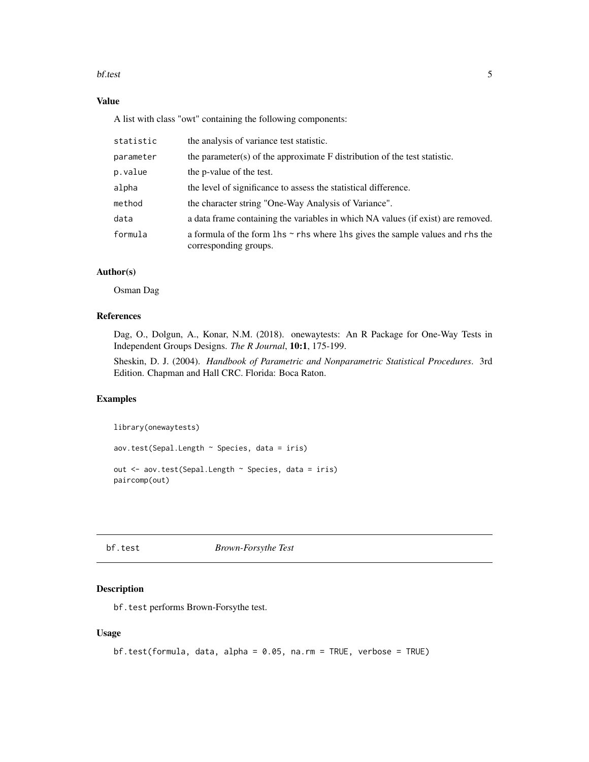#### <span id="page-4-0"></span>bf.test 5

## Value

A list with class "owt" containing the following components:

| statistic | the analysis of variance test statistic.                                                                           |
|-----------|--------------------------------------------------------------------------------------------------------------------|
| parameter | the parameter(s) of the approximate $F$ distribution of the test statistic.                                        |
| p.value   | the p-value of the test.                                                                                           |
| alpha     | the level of significance to assess the statistical difference.                                                    |
| method    | the character string "One-Way Analysis of Variance".                                                               |
| data      | a data frame containing the variables in which NA values (if exist) are removed.                                   |
| formula   | a formula of the form $\ln s \sim r$ hs where $\ln s$ gives the sample values and rhs the<br>corresponding groups. |

## Author(s)

Osman Dag

## References

Dag, O., Dolgun, A., Konar, N.M. (2018). onewaytests: An R Package for One-Way Tests in Independent Groups Designs. *The R Journal*, 10:1, 175-199.

Sheskin, D. J. (2004). *Handbook of Parametric and Nonparametric Statistical Procedures*. 3rd Edition. Chapman and Hall CRC. Florida: Boca Raton.

#### Examples

library(onewaytests)

aov.test(Sepal.Length ~ Species, data = iris)

out <- aov.test(Sepal.Length ~ Species, data = iris) paircomp(out)

#### bf.test *Brown-Forsythe Test*

## Description

bf.test performs Brown-Forsythe test.

#### Usage

```
bf.test(formula, data, alpha = 0.05, na.rm = TRUE, verbose = TRUE)
```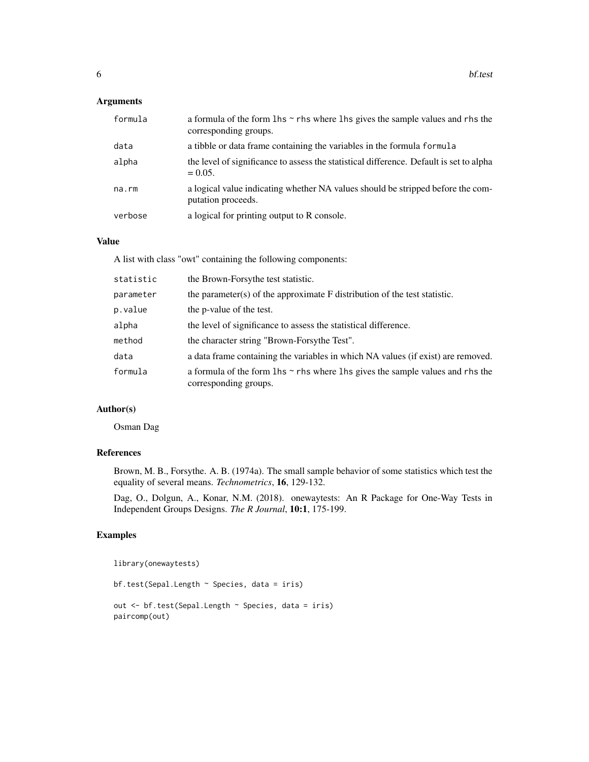## Arguments

| formula | a formula of the form $\ln s \sim r$ hs where $\ln s$ gives the sample values and rhs the<br>corresponding groups. |
|---------|--------------------------------------------------------------------------------------------------------------------|
| data    | a tibble or data frame containing the variables in the formula formula                                             |
| alpha   | the level of significance to assess the statistical difference. Default is set to alpha<br>$= 0.05.$               |
| na.rm   | a logical value indicating whether NA values should be stripped before the com-<br>putation proceeds.              |
| verbose | a logical for printing output to R console.                                                                        |

#### Value

A list with class "owt" containing the following components:

| statistic | the Brown-Forsythe test statistic.                                                                                 |
|-----------|--------------------------------------------------------------------------------------------------------------------|
| parameter | the parameter(s) of the approximate $F$ distribution of the test statistic.                                        |
| p.value   | the p-value of the test.                                                                                           |
| alpha     | the level of significance to assess the statistical difference.                                                    |
| method    | the character string "Brown-Forsythe Test".                                                                        |
| data      | a data frame containing the variables in which NA values (if exist) are removed.                                   |
| formula   | a formula of the form $\ln s \sim r$ hs where $\ln s$ gives the sample values and rhs the<br>corresponding groups. |

## Author(s)

Osman Dag

## References

Brown, M. B., Forsythe. A. B. (1974a). The small sample behavior of some statistics which test the equality of several means. *Technometrics*, 16, 129-132.

Dag, O., Dolgun, A., Konar, N.M. (2018). onewaytests: An R Package for One-Way Tests in Independent Groups Designs. *The R Journal*, 10:1, 175-199.

## Examples

```
library(onewaytests)
```

```
bf.test(Sepal.Length ~ Species, data = iris)
out <- bf.test(Sepal.Length ~ Species, data = iris)
paircomp(out)
```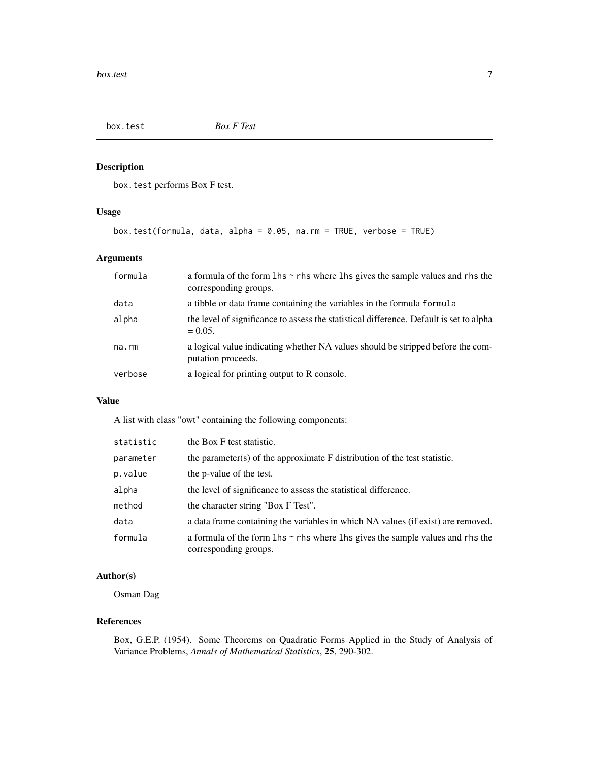<span id="page-6-0"></span>

box.test performs Box F test.

## Usage

box.test(formula, data, alpha = 0.05, na.rm = TRUE, verbose = TRUE)

## Arguments

| formula     | a formula of the form $\ln s \sim r$ hs where $\ln s$ gives the sample values and rhs the<br>corresponding groups. |
|-------------|--------------------------------------------------------------------------------------------------------------------|
| data        | a tibble or data frame containing the variables in the formula formula                                             |
| alpha       | the level of significance to assess the statistical difference. Default is set to alpha<br>$= 0.05.$               |
| $na$ . $rm$ | a logical value indicating whether NA values should be stripped before the com-<br>putation proceeds.              |
| verbose     | a logical for printing output to R console.                                                                        |

## Value

A list with class "owt" containing the following components:

| statistic | the Box F test statistic.                                                                                          |
|-----------|--------------------------------------------------------------------------------------------------------------------|
| parameter | the parameter(s) of the approximate $F$ distribution of the test statistic.                                        |
| p.value   | the p-value of the test.                                                                                           |
| alpha     | the level of significance to assess the statistical difference.                                                    |
| method    | the character string "Box F Test".                                                                                 |
| data      | a data frame containing the variables in which NA values (if exist) are removed.                                   |
| formula   | a formula of the form $\ln s \sim r$ hs where $\ln s$ gives the sample values and rhs the<br>corresponding groups. |

## Author(s)

Osman Dag

#### References

Box, G.E.P. (1954). Some Theorems on Quadratic Forms Applied in the Study of Analysis of Variance Problems, *Annals of Mathematical Statistics*, 25, 290-302.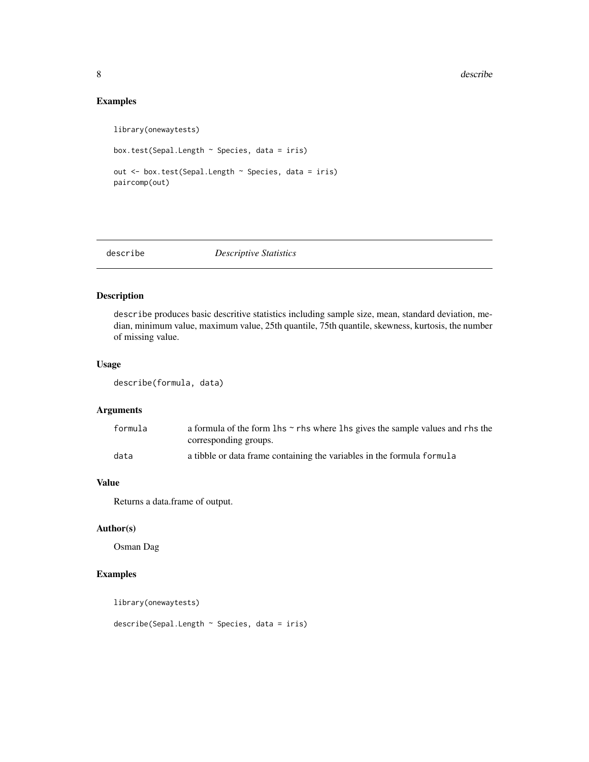## <span id="page-7-0"></span>Examples

```
library(onewaytests)
box.test(Sepal.Length ~ Species, data = iris)
out <- box.test(Sepal.Length ~ Species, data = iris)
paircomp(out)
```
## describe *Descriptive Statistics*

## Description

describe produces basic descritive statistics including sample size, mean, standard deviation, median, minimum value, maximum value, 25th quantile, 75th quantile, skewness, kurtosis, the number of missing value.

#### Usage

describe(formula, data)

## Arguments

| formula | a formula of the form $\ln s \sim r$ hs where $\ln s$ gives the sample values and rhs the |
|---------|-------------------------------------------------------------------------------------------|
|         | corresponding groups.                                                                     |
| data    | a tibble or data frame containing the variables in the formula formula                    |

### Value

Returns a data.frame of output.

#### Author(s)

Osman Dag

#### Examples

library(onewaytests)

describe(Sepal.Length ~ Species, data = iris)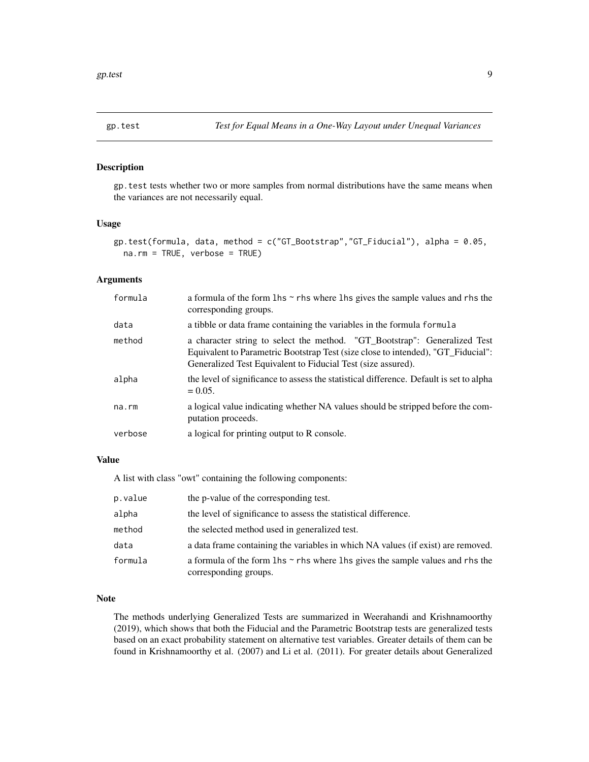<span id="page-8-0"></span>

gp.test tests whether two or more samples from normal distributions have the same means when the variances are not necessarily equal.

#### Usage

```
gp.test(formula, data, method = c("GT_Bootstrap","GT_Fiducial"), alpha = 0.05,
 na.rm = TRUE, verbose = TRUE)
```
## Arguments

| formula | a formula of the form $\ln s \sim r$ hs where $\ln s$ gives the sample values and rhs the<br>corresponding groups.                                                                                                            |
|---------|-------------------------------------------------------------------------------------------------------------------------------------------------------------------------------------------------------------------------------|
| data    | a tibble or data frame containing the variables in the formula formula                                                                                                                                                        |
| method  | a character string to select the method. "GT_Bootstrap": Generalized Test<br>Equivalent to Parametric Bootstrap Test (size close to intended), "GT_Fiducial":<br>Generalized Test Equivalent to Fiducial Test (size assured). |
| alpha   | the level of significance to assess the statistical difference. Default is set to alpha<br>$= 0.05.$                                                                                                                          |
| na.rm   | a logical value indicating whether NA values should be stripped before the com-<br>putation proceeds.                                                                                                                         |
| verbose | a logical for printing output to R console.                                                                                                                                                                                   |

#### Value

A list with class "owt" containing the following components:

| p.value | the p-value of the corresponding test.                                                                             |
|---------|--------------------------------------------------------------------------------------------------------------------|
| alpha   | the level of significance to assess the statistical difference.                                                    |
| method  | the selected method used in generalized test.                                                                      |
| data    | a data frame containing the variables in which NA values (if exist) are removed.                                   |
| formula | a formula of the form $\ln s \sim r$ hs where $\ln s$ gives the sample values and rhs the<br>corresponding groups. |

#### Note

The methods underlying Generalized Tests are summarized in Weerahandi and Krishnamoorthy (2019), which shows that both the Fiducial and the Parametric Bootstrap tests are generalized tests based on an exact probability statement on alternative test variables. Greater details of them can be found in Krishnamoorthy et al. (2007) and Li et al. (2011). For greater details about Generalized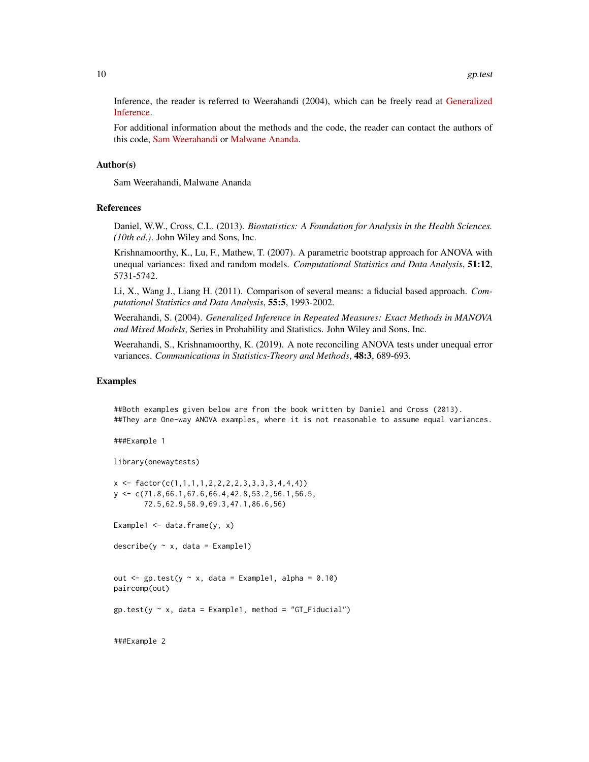Inference, the reader is referred to Weerahandi (2004), which can be freely read at [Generalized](http://www.Weerahandi.org) [Inference.](http://www.Weerahandi.org)

For additional information about the methods and the code, the reader can contact the authors of this code, [Sam Weerahandi](mailto:Weerahandi@X-Techniques.com) or [Malwane Ananda.](mailto:malwane.ananda@unlv.edu)

#### Author(s)

Sam Weerahandi, Malwane Ananda

#### References

Daniel, W.W., Cross, C.L. (2013). *Biostatistics: A Foundation for Analysis in the Health Sciences. (10th ed.)*. John Wiley and Sons, Inc.

Krishnamoorthy, K., Lu, F., Mathew, T. (2007). A parametric bootstrap approach for ANOVA with unequal variances: fixed and random models. *Computational Statistics and Data Analysis*, 51:12, 5731-5742.

Li, X., Wang J., Liang H. (2011). Comparison of several means: a fiducial based approach. *Computational Statistics and Data Analysis*, 55:5, 1993-2002.

Weerahandi, S. (2004). *Generalized Inference in Repeated Measures: Exact Methods in MANOVA and Mixed Models*, Series in Probability and Statistics. John Wiley and Sons, Inc.

Weerahandi, S., Krishnamoorthy, K. (2019). A note reconciling ANOVA tests under unequal error variances. *Communications in Statistics-Theory and Methods*, 48:3, 689-693.

#### Examples

##Both examples given below are from the book written by Daniel and Cross (2013). ##They are One-way ANOVA examples, where it is not reasonable to assume equal variances.

```
###Example 1
```
library(onewaytests)

```
x \leftarrow \text{factor}(c(1,1,1,1,2,2,2,2,3,3,3,3,4,4,4))y <- c(71.8,66.1,67.6,66.4,42.8,53.2,56.1,56.5,
       72.5,62.9,58.9,69.3,47.1,86.6,56)
Example1 \leq data.frame(y, x)
```
 $describe(y \sim x, data = Example1)$ 

```
out \leq gp.test(y \sim x, data = Example1, alpha = 0.10)
paircomp(out)
```
 $gp.test(y \sim x, data = Example1, method = "GT_Fiducial")$ 

###Example 2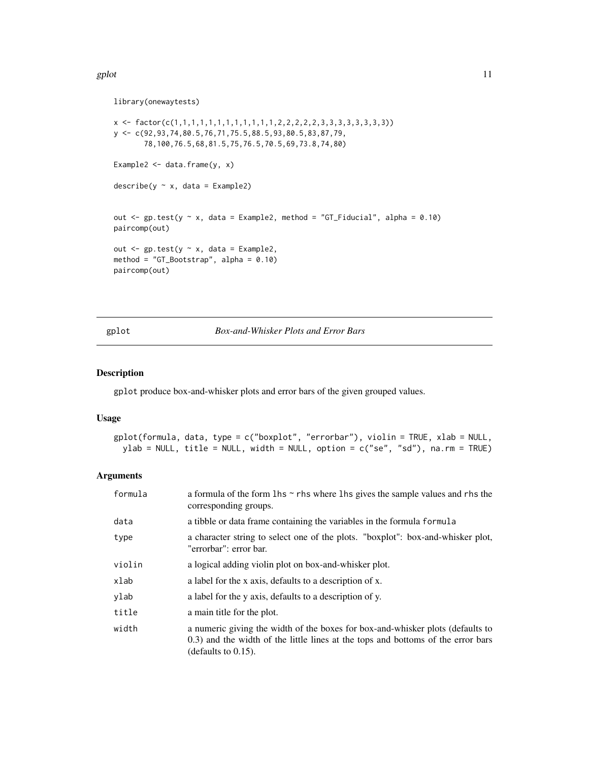#### <span id="page-10-0"></span>gplot the state of the state of the state of the state of the state of the state of the state of the state of the state of the state of the state of the state of the state of the state of the state of the state of the stat

library(onewaytests)

```
x <- factor(c(1,1,1,1,1,1,1,1,1,1,1,1,2,2,2,2,2,3,3,3,3,3,3,3,3))
y <- c(92,93,74,80.5,76,71,75.5,88.5,93,80.5,83,87,79,
       78,100,76.5,68,81.5,75,76.5,70.5,69,73.8,74,80)
Example2 \leq data.frame(y, x)
describe(y \sim x, data = Example2)out \leq gp.test(y \leq x, data = Example2, method = "GT_Fiducial", alpha = 0.10)
paircomp(out)
out \leq gp.test(y \sim x, data = Example2,
method = "GT_Bootstrap", alpha = 0.10)
paircomp(out)
```
<span id="page-10-1"></span>gplot *Box-and-Whisker Plots and Error Bars*

#### Description

gplot produce box-and-whisker plots and error bars of the given grouped values.

#### Usage

```
gplot(formula, data, type = c("boxplot", "errorbar"), violin = TRUE, xlab = NULL,
 ylab = NULL, title = NULL, width = NULL, option = c("se", "sd"), na.rm = TRUE)
```
## Arguments

| formula | a formula of the form $\ln s \sim r$ hs where $\ln s$ gives the sample values and rhs the<br>corresponding groups.                                                                           |
|---------|----------------------------------------------------------------------------------------------------------------------------------------------------------------------------------------------|
| data    | a tibble or data frame containing the variables in the formula formula                                                                                                                       |
| type    | a character string to select one of the plots. "boxplot": box-and-whisker plot,<br>"errorbar": error bar.                                                                                    |
| violin  | a logical adding violin plot on box-and-whisker plot.                                                                                                                                        |
| xlab    | a label for the x axis, defaults to a description of x.                                                                                                                                      |
| ylab    | a label for the y axis, defaults to a description of y.                                                                                                                                      |
| title   | a main title for the plot.                                                                                                                                                                   |
| width   | a numeric giving the width of the boxes for box-and-whisker plots (defaults to<br>0.3) and the width of the little lines at the tops and bottoms of the error bars<br>(defaults to $0.15$ ). |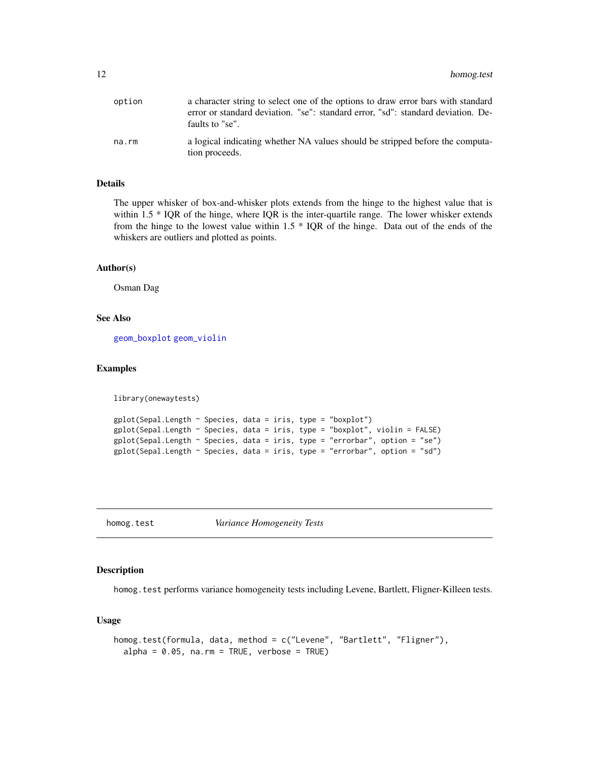<span id="page-11-0"></span>

| option | a character string to select one of the options to draw error bars with standard<br>error or standard deviation. "se": standard error, "sd": standard deviation. De-<br>faults to "se". |
|--------|-----------------------------------------------------------------------------------------------------------------------------------------------------------------------------------------|
| na.rm  | a logical indicating whether NA values should be stripped before the computa-<br>tion proceeds.                                                                                         |

#### Details

The upper whisker of box-and-whisker plots extends from the hinge to the highest value that is within 1.5 \* IQR of the hinge, where IQR is the inter-quartile range. The lower whisker extends from the hinge to the lowest value within 1.5 \* IQR of the hinge. Data out of the ends of the whiskers are outliers and plotted as points.

#### Author(s)

Osman Dag

## See Also

[geom\\_boxplot](#page-0-0) [geom\\_violin](#page-0-0)

#### Examples

```
library(onewaytests)
```

```
gplot(Sepal.Length ~ Species, data = iris, type = "boxplot")gplot(Sepal.Length ~ Species, data = iris, type = "boxplot", violin = FALSE)
gplot(Sepal.Length ~ Species, data = iris, type = "errorbar", option = "se")
gplot(Sepal.Length ~ Species, data = iris, type = "errorbar", option = "sd")
```
<span id="page-11-1"></span>homog.test *Variance Homogeneity Tests*

#### Description

homog.test performs variance homogeneity tests including Levene, Bartlett, Fligner-Killeen tests.

#### Usage

```
homog.test(formula, data, method = c("Levene", "Bartlett", "Fligner"),
  alpha = 0.05, na.rm = TRUE, verbose = TRUE)
```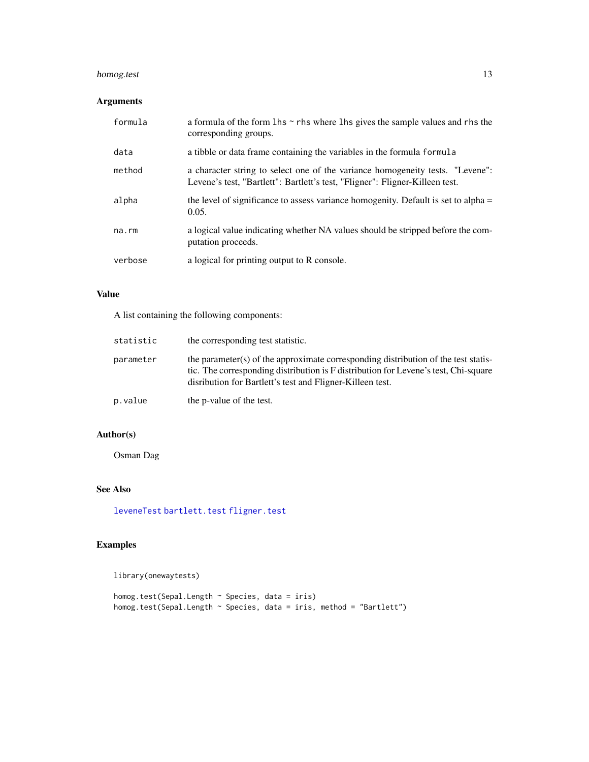## <span id="page-12-0"></span>homog.test 13

## Arguments

| formula | a formula of the form $\ln s \sim r$ hs where $\ln s$ gives the sample values and rhs the<br>corresponding groups.                                            |
|---------|---------------------------------------------------------------------------------------------------------------------------------------------------------------|
| data    | a tibble or data frame containing the variables in the formula formula                                                                                        |
| method  | a character string to select one of the variance homogeneity tests. "Levene":<br>Levene's test, "Bartlett": Bartlett's test, "Fligner": Fligner-Killeen test. |
| alpha   | the level of significance to assess variance homogenity. Default is set to alpha $=$<br>0.05.                                                                 |
| na.rm   | a logical value indicating whether NA values should be stripped before the com-<br>putation proceeds.                                                         |
| verbose | a logical for printing output to R console.                                                                                                                   |

## Value

A list containing the following components:

| statistic | the corresponding test statistic.                                                                                                                                                                                                      |
|-----------|----------------------------------------------------------------------------------------------------------------------------------------------------------------------------------------------------------------------------------------|
| parameter | the parameter(s) of the approximate corresponding distribution of the test statis-<br>tic. The corresponding distribution is F distribution for Levene's test, Chi-square<br>disribution for Bartlett's test and Fligner-Killeen test. |
| p.value   | the p-value of the test.                                                                                                                                                                                                               |

## Author(s)

Osman Dag

## See Also

[leveneTest](#page-0-0) [bartlett.test](#page-0-0) [fligner.test](#page-0-0)

## Examples

library(onewaytests)

homog.test(Sepal.Length ~ Species, data = iris) homog.test(Sepal.Length ~ Species, data = iris, method = "Bartlett")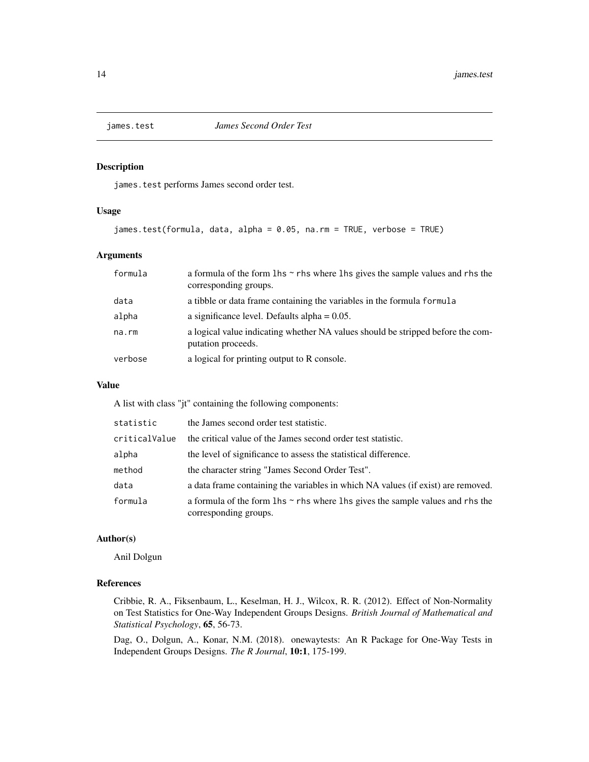<span id="page-13-0"></span>

james.test performs James second order test.

## Usage

```
james.test(formula, data, alpha = 0.05, na.rm = TRUE, verbose = TRUE)
```
#### Arguments

| formula | a formula of the form $\ln s \sim r$ hs where $\ln s$ gives the sample values and rhs the<br>corresponding groups. |
|---------|--------------------------------------------------------------------------------------------------------------------|
| data    | a tibble or data frame containing the variables in the formula formula                                             |
| alpha   | a significance level. Defaults alpha $= 0.05$ .                                                                    |
| na.rm   | a logical value indicating whether NA values should be stripped before the com-<br>putation proceeds.              |
| verbose | a logical for printing output to R console.                                                                        |

#### Value

A list with class "jt" containing the following components:

| statistic     | the James second order test statistic.                                                                             |
|---------------|--------------------------------------------------------------------------------------------------------------------|
| criticalValue | the critical value of the James second order test statistic.                                                       |
| alpha         | the level of significance to assess the statistical difference.                                                    |
| method        | the character string "James Second Order Test".                                                                    |
| data          | a data frame containing the variables in which NA values (if exist) are removed.                                   |
| formula       | a formula of the form $\ln s \sim r$ hs where $\ln s$ gives the sample values and rhs the<br>corresponding groups. |

## Author(s)

Anil Dolgun

#### References

Cribbie, R. A., Fiksenbaum, L., Keselman, H. J., Wilcox, R. R. (2012). Effect of Non-Normality on Test Statistics for One-Way Independent Groups Designs. *British Journal of Mathematical and Statistical Psychology*, 65, 56-73.

Dag, O., Dolgun, A., Konar, N.M. (2018). onewaytests: An R Package for One-Way Tests in Independent Groups Designs. *The R Journal*, 10:1, 175-199.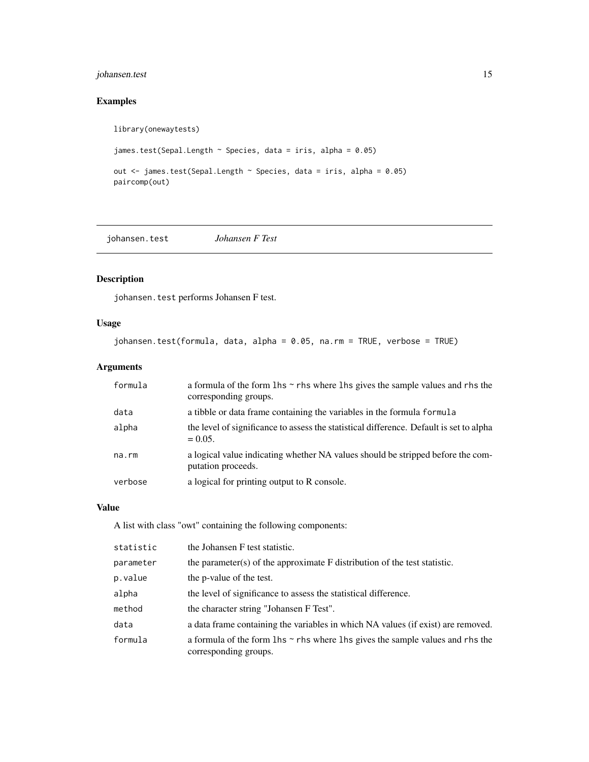## <span id="page-14-0"></span>johansen.test 15

## Examples

```
library(onewaytests)
```

```
james.test(Sepal.Length ~ Species, data = iris, alpha = 0.05)
```

```
out <- james.test(Sepal.Length ~ Species, data = iris, alpha = 0.05)
paircomp(out)
```
johansen.test *Johansen F Test*

## Description

johansen.test performs Johansen F test.

## Usage

johansen.test(formula, data, alpha = 0.05, na.rm = TRUE, verbose = TRUE)

## Arguments

| formula     | a formula of the form $\ln s \sim r$ hs where $\ln s$ gives the sample values and rhs the<br>corresponding groups. |
|-------------|--------------------------------------------------------------------------------------------------------------------|
| data        | a tibble or data frame containing the variables in the formula formula                                             |
| alpha       | the level of significance to assess the statistical difference. Default is set to alpha<br>$= 0.05.$               |
| $na$ . $rm$ | a logical value indicating whether NA values should be stripped before the com-<br>putation proceeds.              |
| verbose     | a logical for printing output to R console.                                                                        |

## Value

A list with class "owt" containing the following components:

| statistic | the Johansen F test statistic.                                                                                     |
|-----------|--------------------------------------------------------------------------------------------------------------------|
| parameter | the parameter(s) of the approximate $F$ distribution of the test statistic.                                        |
| p.value   | the p-value of the test.                                                                                           |
| alpha     | the level of significance to assess the statistical difference.                                                    |
| method    | the character string "Johansen F Test".                                                                            |
| data      | a data frame containing the variables in which NA values (if exist) are removed.                                   |
| formula   | a formula of the form $\ln s \sim r$ hs where $\ln s$ gives the sample values and rhs the<br>corresponding groups. |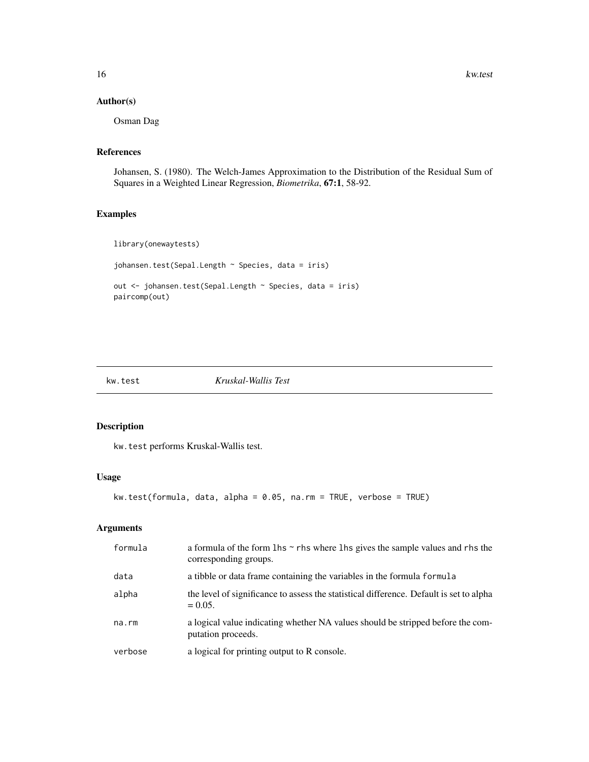## <span id="page-15-0"></span>Author(s)

Osman Dag

#### References

Johansen, S. (1980). The Welch-James Approximation to the Distribution of the Residual Sum of Squares in a Weighted Linear Regression, *Biometrika*, 67:1, 58-92.

## Examples

```
library(onewaytests)
johansen.test(Sepal.Length ~ Species, data = iris)
```

```
out <- johansen.test(Sepal.Length ~ Species, data = iris)
paircomp(out)
```

```
kw.test Kruskal-Wallis Test
```
## Description

kw.test performs Kruskal-Wallis test.

#### Usage

```
kw.test(formula, data, alpha = 0.05, na.rm = TRUE, verbose = TRUE)
```
#### Arguments

| formula | a formula of the form $\ln s \sim r$ hs where $\ln s$ gives the sample values and rhs the<br>corresponding groups. |
|---------|--------------------------------------------------------------------------------------------------------------------|
| data    | a tibble or data frame containing the variables in the formula formula                                             |
| alpha   | the level of significance to assess the statistical difference. Default is set to alpha<br>$= 0.05.$               |
| na.rm   | a logical value indicating whether NA values should be stripped before the com-<br>putation proceeds.              |
| verbose | a logical for printing output to R console.                                                                        |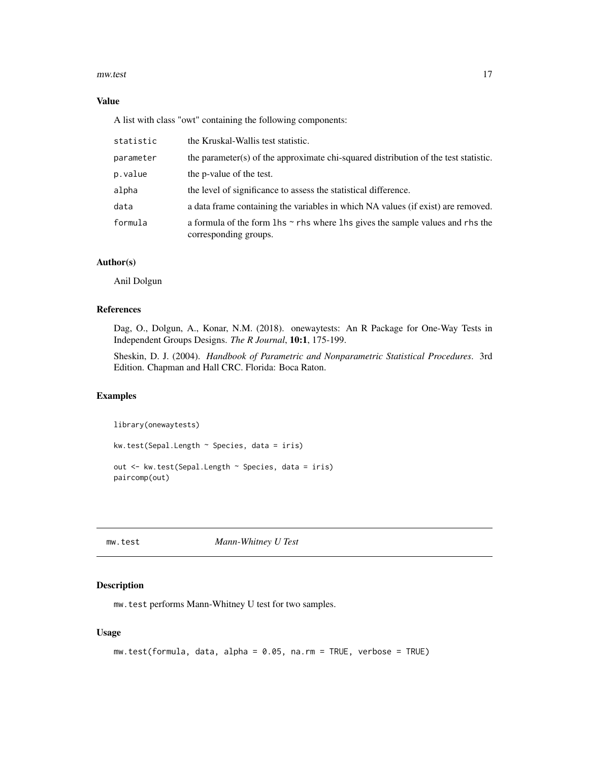#### <span id="page-16-0"></span>mw.test 17

#### Value

A list with class "owt" containing the following components:

| statistic | the Kruskal-Wallis test statistic.                                                                                 |
|-----------|--------------------------------------------------------------------------------------------------------------------|
| parameter | the parameter(s) of the approximate chi-squared distribution of the test statistic.                                |
| p.value   | the p-value of the test.                                                                                           |
| alpha     | the level of significance to assess the statistical difference.                                                    |
| data      | a data frame containing the variables in which NA values (if exist) are removed.                                   |
| formula   | a formula of the form $\ln s \sim r$ hs where $\ln s$ gives the sample values and rhs the<br>corresponding groups. |

## Author(s)

Anil Dolgun

#### References

Dag, O., Dolgun, A., Konar, N.M. (2018). onewaytests: An R Package for One-Way Tests in Independent Groups Designs. *The R Journal*, 10:1, 175-199.

Sheskin, D. J. (2004). *Handbook of Parametric and Nonparametric Statistical Procedures*. 3rd Edition. Chapman and Hall CRC. Florida: Boca Raton.

## Examples

library(onewaytests) kw.test(Sepal.Length ~ Species, data = iris) out <- kw.test(Sepal.Length ~ Species, data = iris) paircomp(out)

mw.test *Mann-Whitney U Test*

#### Description

mw.test performs Mann-Whitney U test for two samples.

#### Usage

```
mw.test(formula, data, alpha = 0.05, na.rm = TRUE, verbose = TRUE)
```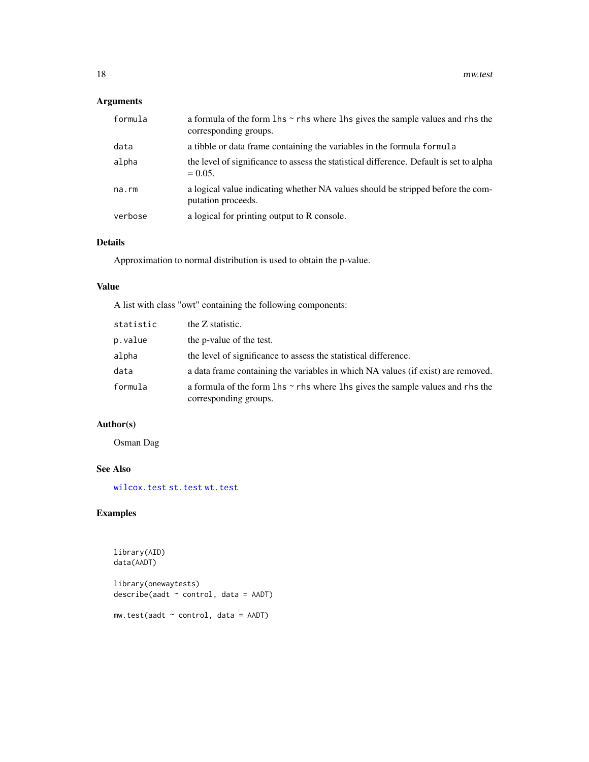## <span id="page-17-0"></span>Arguments

| formula | a formula of the form $\ln s \sim r$ hs where $\ln s$ gives the sample values and rhs the<br>corresponding groups. |
|---------|--------------------------------------------------------------------------------------------------------------------|
| data    | a tibble or data frame containing the variables in the formula formula                                             |
| alpha   | the level of significance to assess the statistical difference. Default is set to alpha<br>$= 0.05.$               |
| na.rm   | a logical value indicating whether NA values should be stripped before the com-<br>putation proceeds.              |
| verbose | a logical for printing output to R console.                                                                        |

#### Details

Approximation to normal distribution is used to obtain the p-value.

#### Value

A list with class "owt" containing the following components:

| statistic | the Z statistic.                                                                                                   |
|-----------|--------------------------------------------------------------------------------------------------------------------|
| p.value   | the p-value of the test.                                                                                           |
| alpha     | the level of significance to assess the statistical difference.                                                    |
| data      | a data frame containing the variables in which NA values (if exist) are removed.                                   |
| formula   | a formula of the form $\ln s \sim r$ hs where $\ln s$ gives the sample values and rhs the<br>corresponding groups. |

## Author(s)

Osman Dag

## See Also

[wilcox.test](#page-0-0) [st.test](#page-22-1) [wt.test](#page-25-1)

## Examples

```
library(AID)
data(AADT)
library(onewaytests)
describe(aadt ~ control, data = AADT)
mw.test(aadt ~ control, data = AADT)
```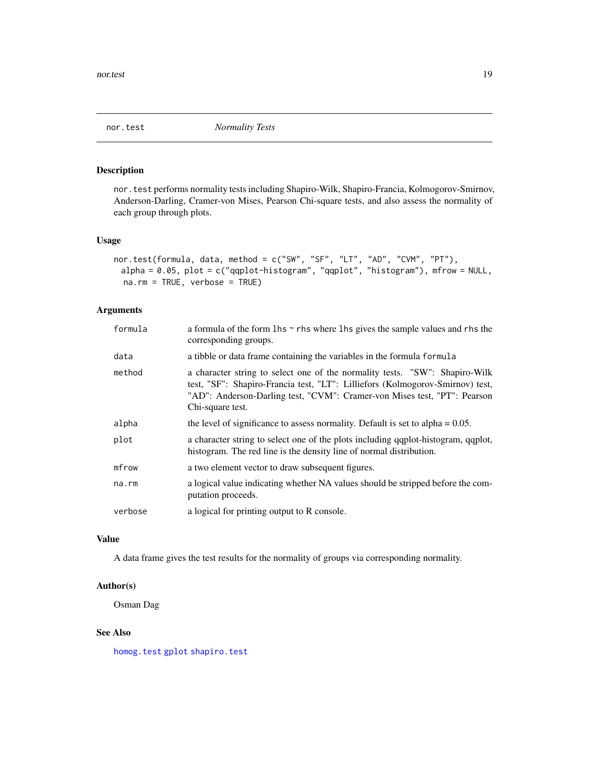<span id="page-18-0"></span>

nor.test performs normality tests including Shapiro-Wilk, Shapiro-Francia, Kolmogorov-Smirnov, Anderson-Darling, Cramer-von Mises, Pearson Chi-square tests, and also assess the normality of each group through plots.

#### Usage

```
nor.test(formula, data, method = c("SW", "SF", "LT", "AD", "CVM", "PT"),
 alpha = 0.05, plot = c("qqplot-histogram", "qqplot", "histogram"), mfrow = NULL,
 na.rm = TRUE, verbose = TRUE)
```
#### Arguments

| formula | a formula of the form $\ln s \sim r$ hs where $\ln s$ gives the sample values and rhs the<br>corresponding groups.                                                                                                                                           |
|---------|--------------------------------------------------------------------------------------------------------------------------------------------------------------------------------------------------------------------------------------------------------------|
| data    | a tibble or data frame containing the variables in the formula formula                                                                                                                                                                                       |
| method  | a character string to select one of the normality tests. "SW": Shapiro-Wilk<br>test, "SF": Shapiro-Francia test, "LT": Lilliefors (Kolmogorov-Smirnov) test,<br>"AD": Anderson-Darling test, "CVM": Cramer-von Mises test, "PT": Pearson<br>Chi-square test. |
| alpha   | the level of significance to assess normality. Default is set to alpha $= 0.05$ .                                                                                                                                                                            |
| plot    | a character string to select one of the plots including qqplot-histogram, qqplot,<br>histogram. The red line is the density line of normal distribution.                                                                                                     |
| mfrow   | a two element vector to draw subsequent figures.                                                                                                                                                                                                             |
| na.rm   | a logical value indicating whether NA values should be stripped before the com-<br>putation proceeds.                                                                                                                                                        |
| verbose | a logical for printing output to R console.                                                                                                                                                                                                                  |

## Value

A data frame gives the test results for the normality of groups via corresponding normality.

#### Author(s)

Osman Dag

#### See Also

[homog.test](#page-11-1) [gplot](#page-10-1) [shapiro.test](#page-0-0)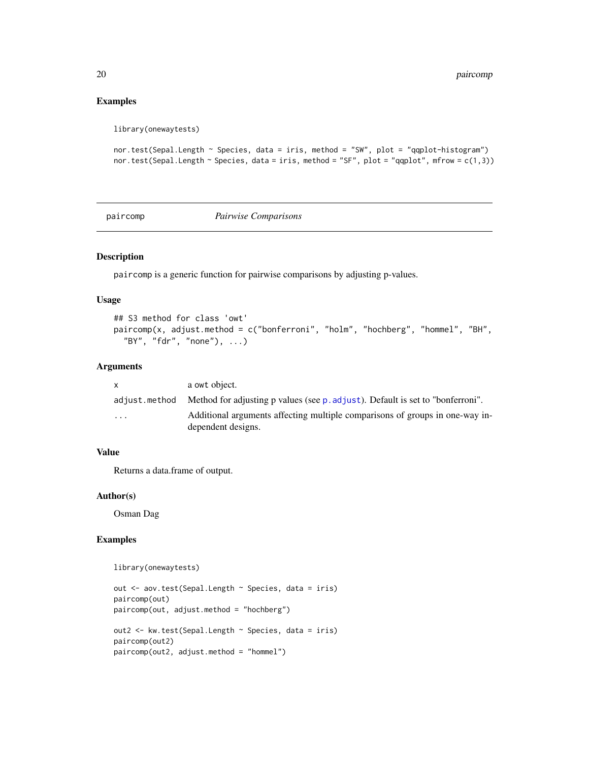#### Examples

```
library(onewaytests)
```

```
nor.test(Sepal.Length ~ Species, data = iris, method = "SW", plot = "qqplot-histogram")
nor.test(Sepal.Length ~ Species, data = iris, method = "SF", plot = "qqplot", mfrow = c(1,3))
```
paircomp *Pairwise Comparisons*

#### Description

paircomp is a generic function for pairwise comparisons by adjusting p-values.

#### Usage

```
## S3 method for class 'owt'
paircomp(x, adjust.method = c("bonferroni", "holm", "hochberg", "hommel", "BH",
  "BY", "fdr", "none"), ...)
```
## Arguments

|                         | a owt object.                                                                                      |
|-------------------------|----------------------------------------------------------------------------------------------------|
|                         | adjust.method Method for adjusting p values (see p. adjust). Default is set to "bonferroni".       |
| $\cdot$ $\cdot$ $\cdot$ | Additional arguments affecting multiple comparisons of groups in one-way in-<br>dependent designs. |

#### Value

Returns a data.frame of output.

#### Author(s)

Osman Dag

## Examples

```
library(onewaytests)
```

```
out <- aov.test(Sepal.Length ~ Species, data = iris)
paircomp(out)
paircomp(out, adjust.method = "hochberg")
out2 <- kw.test(Sepal.Length ~ Species, data = iris)
paircomp(out2)
paircomp(out2, adjust.method = "hommel")
```
<span id="page-19-0"></span>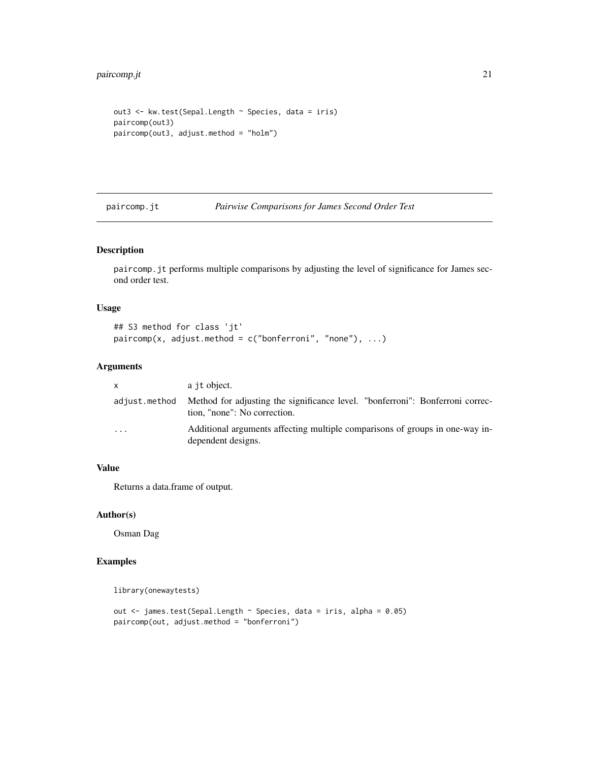```
out3 <- kw.test(Sepal.Length ~ Species, data = iris)
paircomp(out3)
paircomp(out3, adjust.method = "holm")
```
paircomp.jt *Pairwise Comparisons for James Second Order Test*

#### Description

paircomp.jt performs multiple comparisons by adjusting the level of significance for James second order test.

#### Usage

```
## S3 method for class 'jt'
paircomp(x, adjust.method = c("bonferroni", "none"), ...)
```
## Arguments

| x | a jt object.                                                                                                                |
|---|-----------------------------------------------------------------------------------------------------------------------------|
|   | adjust method Method for adjusting the significance level. "bonferroni": Bonferroni correc-<br>tion, "none": No correction. |
| . | Additional arguments affecting multiple comparisons of groups in one-way in-<br>dependent designs.                          |

## Value

Returns a data.frame of output.

#### Author(s)

Osman Dag

## Examples

```
library(onewaytests)
```

```
out <- james.test(Sepal.Length ~ Species, data = iris, alpha = 0.05)
paircomp(out, adjust.method = "bonferroni")
```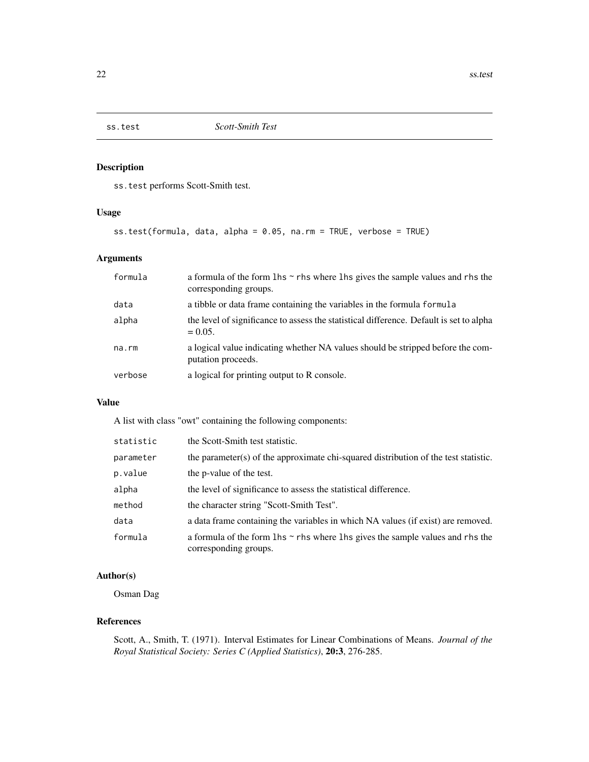<span id="page-21-0"></span>

ss.test performs Scott-Smith test.

## Usage

```
ss.test(formula, data, alpha = 0.05, na.rm = TRUE, verbose = TRUE)
```
## Arguments

| formula | a formula of the form $\ln s \sim r$ hs where $\ln s$ gives the sample values and rhs the<br>corresponding groups. |
|---------|--------------------------------------------------------------------------------------------------------------------|
| data    | a tibble or data frame containing the variables in the formula formula                                             |
| alpha   | the level of significance to assess the statistical difference. Default is set to alpha<br>$= 0.05.$               |
| na.rm   | a logical value indicating whether NA values should be stripped before the com-<br>putation proceeds.              |
| verbose | a logical for printing output to R console.                                                                        |

## Value

A list with class "owt" containing the following components:

| statistic | the Scott-Smith test statistic.                                                                                    |
|-----------|--------------------------------------------------------------------------------------------------------------------|
| parameter | the parameter(s) of the approximate chi-squared distribution of the test statistic.                                |
| p.value   | the p-value of the test.                                                                                           |
| alpha     | the level of significance to assess the statistical difference.                                                    |
| method    | the character string "Scott-Smith Test".                                                                           |
| data      | a data frame containing the variables in which NA values (if exist) are removed.                                   |
| formula   | a formula of the form $\ln s \sim r$ hs where $\ln s$ gives the sample values and rhs the<br>corresponding groups. |

## Author(s)

Osman Dag

## References

Scott, A., Smith, T. (1971). Interval Estimates for Linear Combinations of Means. *Journal of the Royal Statistical Society: Series C (Applied Statistics)*, 20:3, 276-285.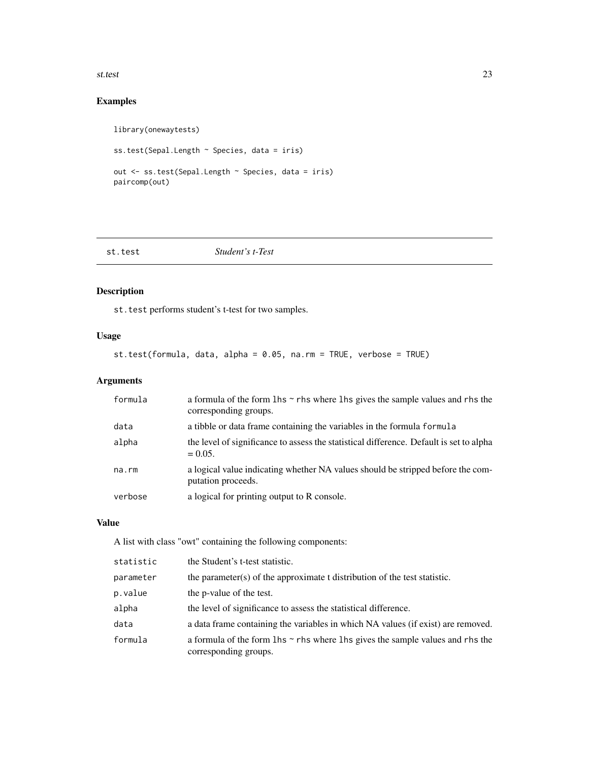<span id="page-22-0"></span>st.test 23

## Examples

```
library(onewaytests)
ss.test(Sepal.Length ~ Species, data = iris)
out <- ss.test(Sepal.Length ~ Species, data = iris)
paircomp(out)
```
<span id="page-22-1"></span>

#### Student's t-Test

## Description

st.test performs student's t-test for two samples.

## Usage

st.test(formula, data, alpha = 0.05, na.rm = TRUE, verbose = TRUE)

## Arguments

| formula | a formula of the form $\ln s \sim r$ hs where $\ln s$ gives the sample values and rhs the<br>corresponding groups. |
|---------|--------------------------------------------------------------------------------------------------------------------|
| data    | a tibble or data frame containing the variables in the formula formula                                             |
| alpha   | the level of significance to assess the statistical difference. Default is set to alpha<br>$= 0.05.$               |
| na.rm   | a logical value indicating whether NA values should be stripped before the com-<br>putation proceeds.              |
| verbose | a logical for printing output to R console.                                                                        |

## Value

A list with class "owt" containing the following components:

| statistic | the Student's t-test statistic.                                                                                    |
|-----------|--------------------------------------------------------------------------------------------------------------------|
| parameter | the parameter(s) of the approximate t distribution of the test statistic.                                          |
| p.value   | the p-value of the test.                                                                                           |
| alpha     | the level of significance to assess the statistical difference.                                                    |
| data      | a data frame containing the variables in which NA values (if exist) are removed.                                   |
| formula   | a formula of the form $\ln s \sim r$ hs where $\ln s$ gives the sample values and rhs the<br>corresponding groups. |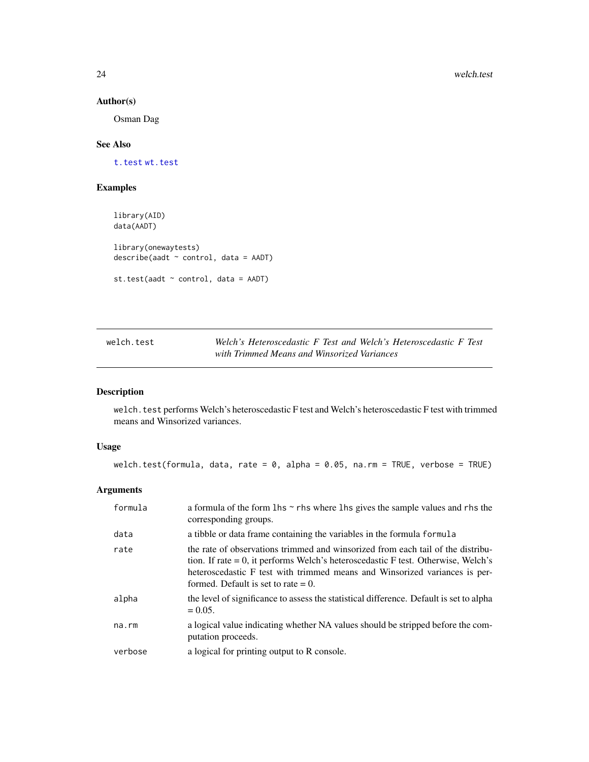#### Author(s)

Osman Dag

## See Also

[t.test](#page-0-0) [wt.test](#page-25-1)

#### Examples

```
library(AID)
data(AADT)
library(onewaytests)
describe(aadt ~ control, data = AADT)
st.test(aadt ~ control, data = AADT)
```
welch.test *Welch's Heteroscedastic F Test and Welch's Heteroscedastic F Test with Trimmed Means and Winsorized Variances*

## Description

welch.test performs Welch's heteroscedastic F test and Welch's heteroscedastic F test with trimmed means and Winsorized variances.

## Usage

welch.test(formula, data, rate = 0, alpha = 0.05, na.rm = TRUE, verbose = TRUE)

## Arguments

| formula     | a formula of the form $\ln s \sim r$ hs where $\ln s$ gives the sample values and rhs the<br>corresponding groups.                                                                                                                                                                              |
|-------------|-------------------------------------------------------------------------------------------------------------------------------------------------------------------------------------------------------------------------------------------------------------------------------------------------|
| data        | a tibble or data frame containing the variables in the formula formula                                                                                                                                                                                                                          |
| rate        | the rate of observations trimmed and winsorized from each tail of the distribu-<br>tion. If rate $= 0$ , it performs Welch's heteroscedastic F test. Otherwise, Welch's<br>heteroscedastic F test with trimmed means and Winsorized variances is per-<br>formed. Default is set to rate $= 0$ . |
| alpha       | the level of significance to assess the statistical difference. Default is set to alpha<br>$= 0.05.$                                                                                                                                                                                            |
| $na$ . $rm$ | a logical value indicating whether NA values should be stripped before the com-<br>putation proceeds.                                                                                                                                                                                           |
| verbose     | a logical for printing output to R console.                                                                                                                                                                                                                                                     |

<span id="page-23-0"></span>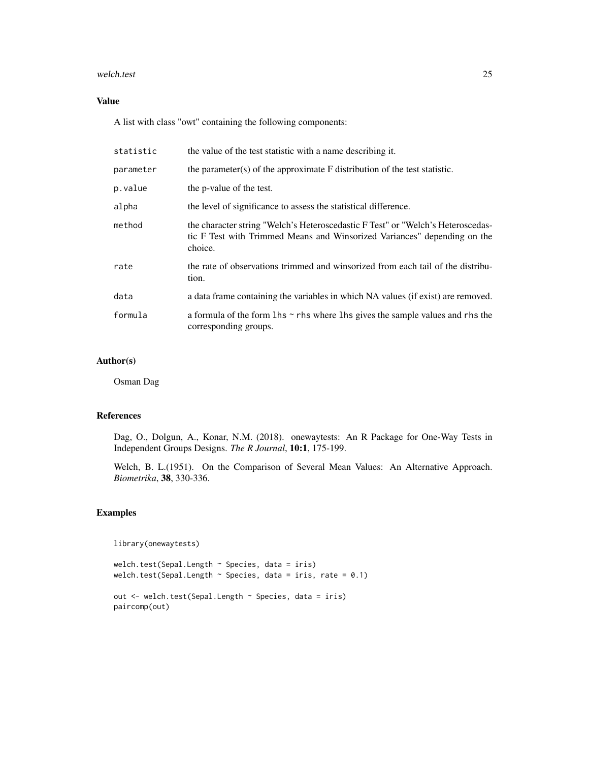#### welch.test 25

## Value

A list with class "owt" containing the following components:

| statistic | the value of the test statistic with a name describing it.                                                                                                             |
|-----------|------------------------------------------------------------------------------------------------------------------------------------------------------------------------|
| parameter | the parameter(s) of the approximate $F$ distribution of the test statistic.                                                                                            |
| p.value   | the p-value of the test.                                                                                                                                               |
| alpha     | the level of significance to assess the statistical difference.                                                                                                        |
| method    | the character string "Welch's Heteroscedastic F Test" or "Welch's Heteroscedas-<br>tic F Test with Trimmed Means and Winsorized Variances" depending on the<br>choice. |
| rate      | the rate of observations trimmed and winsorized from each tail of the distribu-<br>tion.                                                                               |
| data      | a data frame containing the variables in which NA values (if exist) are removed.                                                                                       |
| formula   | a formula of the form $\ln s \sim r$ hs where $\ln s$ gives the sample values and rhs the<br>corresponding groups.                                                     |

## Author(s)

Osman Dag

#### References

Dag, O., Dolgun, A., Konar, N.M. (2018). onewaytests: An R Package for One-Way Tests in Independent Groups Designs. *The R Journal*, 10:1, 175-199.

Welch, B. L.(1951). On the Comparison of Several Mean Values: An Alternative Approach. *Biometrika*, 38, 330-336.

## Examples

library(onewaytests)

```
welch.test(Sepal.Length ~ Species, data = iris)
welch.test(Sepal.Length \sim Species, data = iris, rate = 0.1)
out <- welch.test(Sepal.Length ~ Species, data = iris)
paircomp(out)
```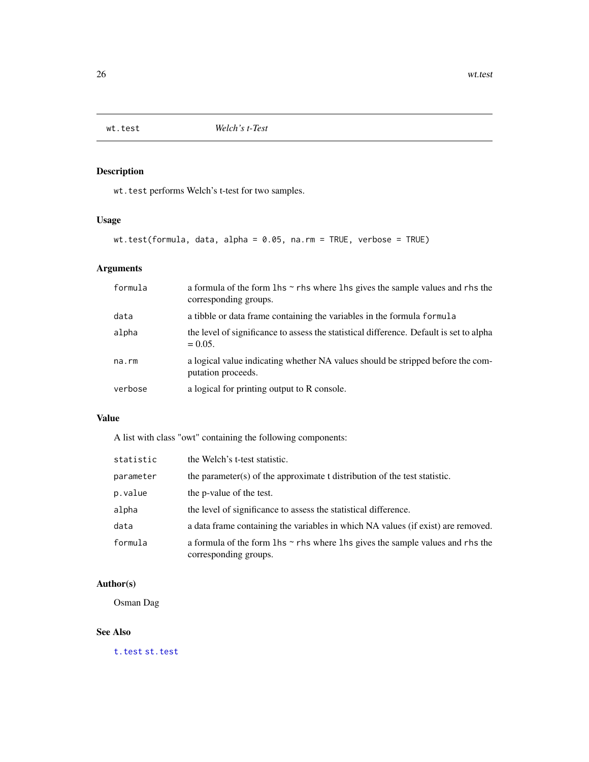<span id="page-25-1"></span><span id="page-25-0"></span>

wt.test performs Welch's t-test for two samples.

## Usage

wt.test(formula, data, alpha = 0.05, na.rm = TRUE, verbose = TRUE)

## Arguments

| formula | a formula of the form $\ln s \sim r$ hs where $\ln s$ gives the sample values and rhs the<br>corresponding groups. |
|---------|--------------------------------------------------------------------------------------------------------------------|
| data    | a tibble or data frame containing the variables in the formula formula                                             |
| alpha   | the level of significance to assess the statistical difference. Default is set to alpha<br>$= 0.05.$               |
| na.rm   | a logical value indicating whether NA values should be stripped before the com-<br>putation proceeds.              |
| verbose | a logical for printing output to R console.                                                                        |

## Value

A list with class "owt" containing the following components:

| statistic | the Welch's t-test statistic.                                                                                      |
|-----------|--------------------------------------------------------------------------------------------------------------------|
| parameter | the parameter(s) of the approximate t distribution of the test statistic.                                          |
| p.value   | the p-value of the test.                                                                                           |
| alpha     | the level of significance to assess the statistical difference.                                                    |
| data      | a data frame containing the variables in which NA values (if exist) are removed.                                   |
| formula   | a formula of the form $\ln s \sim r$ hs where $\ln s$ gives the sample values and rhs the<br>corresponding groups. |

## Author(s)

Osman Dag

## See Also

[t.test](#page-0-0) [st.test](#page-22-1)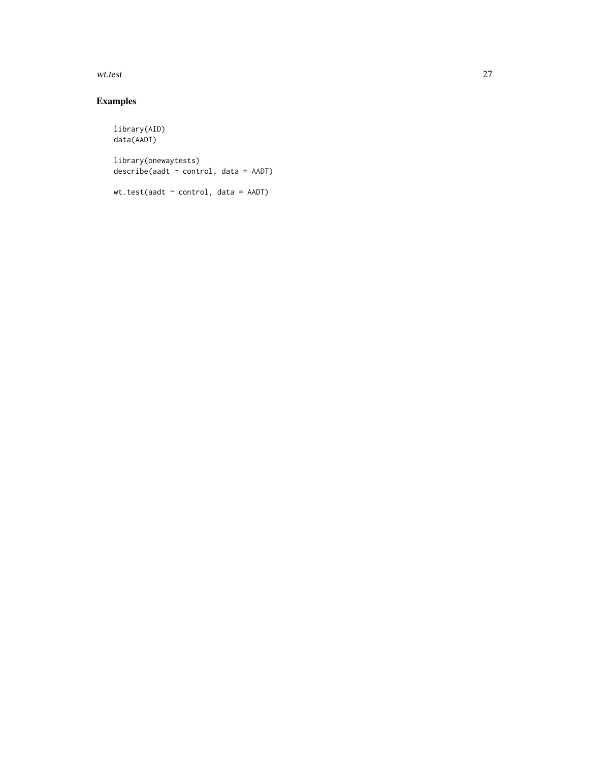wt.test 27

## Examples

library(AID) data(AADT) library(onewaytests) describe(aadt ~ control, data = AADT)

wt.test(aadt ~ control, data = AADT)